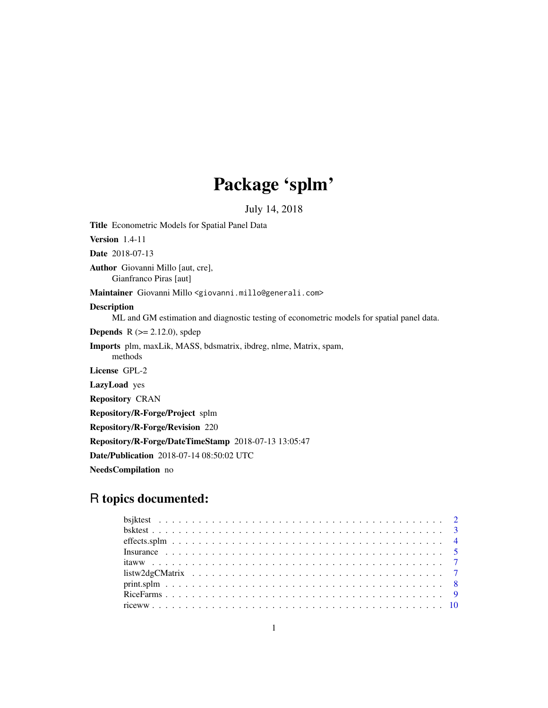# Package 'splm'

July 14, 2018

Title Econometric Models for Spatial Panel Data Version 1.4-11 Date 2018-07-13 Author Giovanni Millo [aut, cre], Gianfranco Piras [aut] Maintainer Giovanni Millo <giovanni.millo@generali.com> Description ML and GM estimation and diagnostic testing of econometric models for spatial panel data. **Depends** R  $(>= 2.12.0)$ , spdep Imports plm, maxLik, MASS, bdsmatrix, ibdreg, nlme, Matrix, spam, methods License GPL-2 LazyLoad yes Repository CRAN Repository/R-Forge/Project splm Repository/R-Forge/Revision 220 Repository/R-Forge/DateTimeStamp 2018-07-13 13:05:47 Date/Publication 2018-07-14 08:50:02 UTC NeedsCompilation no

# R topics documented:

| $print.split.           8$ |  |
|----------------------------|--|
|                            |  |
|                            |  |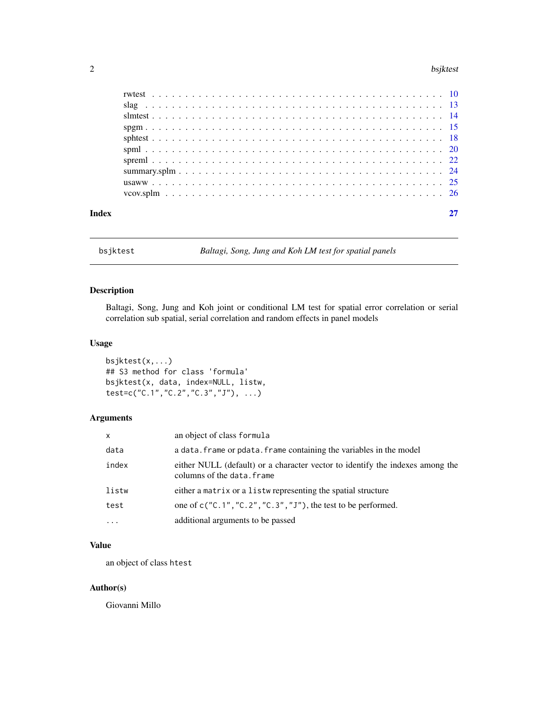#### <span id="page-1-0"></span>2 bsjktest i 1992 beskiedenis i 1992 beskiedenis i 1992 beskiedenis i 1992 beskiedenis i 1993 beskiedenis i 19

| Index |  |  |  |  |  |  |  |  |  |  |  |  |  |  |  |
|-------|--|--|--|--|--|--|--|--|--|--|--|--|--|--|--|

bsjktest *Baltagi, Song, Jung and Koh LM test for spatial panels*

# Description

Baltagi, Song, Jung and Koh joint or conditional LM test for spatial error correlation or serial correlation sub spatial, serial correlation and random effects in panel models

# Usage

bsjktest(x,...) ## S3 method for class 'formula' bsjktest(x, data, index=NULL, listw, test=c("C.1","C.2","C.3","J"), ...)

# Arguments

| $\mathsf{x}$ | an object of class formula                                                                                  |
|--------------|-------------------------------------------------------------------------------------------------------------|
| data         | a data. frame or pdata. frame containing the variables in the model                                         |
| index        | either NULL (default) or a character vector to identify the indexes among the<br>columns of the data. frame |
| listw        | either a matrix or a listwe representing the spatial structure                                              |
| test         | one of $c("C.1", "C.2", "C.3", "J"),$ the test to be performed.                                             |
| $\cdots$     | additional arguments to be passed                                                                           |

# Value

an object of class htest

# Author(s)

Giovanni Millo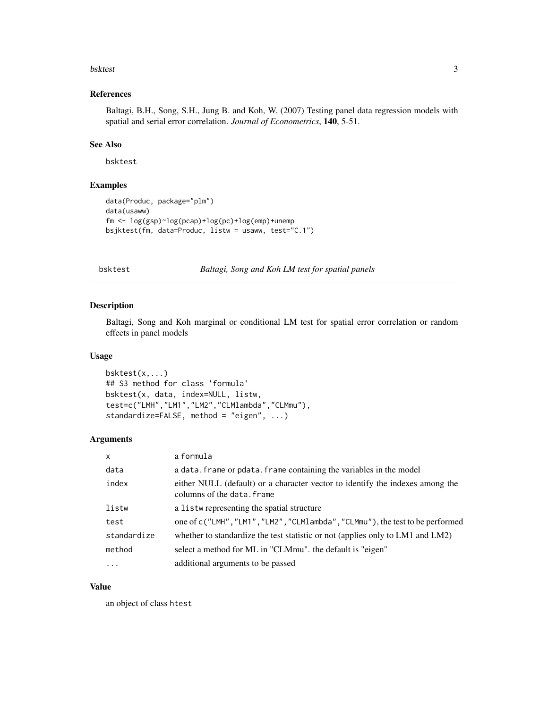#### <span id="page-2-0"></span>bsktest 3

# References

Baltagi, B.H., Song, S.H., Jung B. and Koh, W. (2007) Testing panel data regression models with spatial and serial error correlation. *Journal of Econometrics*, 140, 5-51.

# See Also

bsktest

# Examples

```
data(Produc, package="plm")
data(usaww)
fm <- log(gsp)~log(pcap)+log(pc)+log(emp)+unemp
bsjktest(fm, data=Produc, listw = usaww, test="C.1")
```
bsktest *Baltagi, Song and Koh LM test for spatial panels*

# Description

Baltagi, Song and Koh marginal or conditional LM test for spatial error correlation or random effects in panel models

#### Usage

```
bsktest(x,...)
## S3 method for class 'formula'
bsktest(x, data, index=NULL, listw,
test=c("LMH","LM1","LM2","CLMlambda","CLMmu"),
standardize=FALSE, method = "eigen", ...)
```
#### Arguments

| $\mathsf{x}$ | a formula                                                                                                   |
|--------------|-------------------------------------------------------------------------------------------------------------|
| data         | a data. frame or pdata. frame containing the variables in the model                                         |
| index        | either NULL (default) or a character vector to identify the indexes among the<br>columns of the data, frame |
| listw        | a listwe representing the spatial structure                                                                 |
| test         | one of c("LMH","LM1","LM2","CLM1ambda","CLMmu"), the test to be performed                                   |
| standardize  | whether to standardize the test statistic or not (applies only to LM1 and LM2)                              |
| method       | select a method for ML in "CLMmu". the default is "eigen"                                                   |
| $\cdot$      | additional arguments to be passed                                                                           |

#### Value

an object of class htest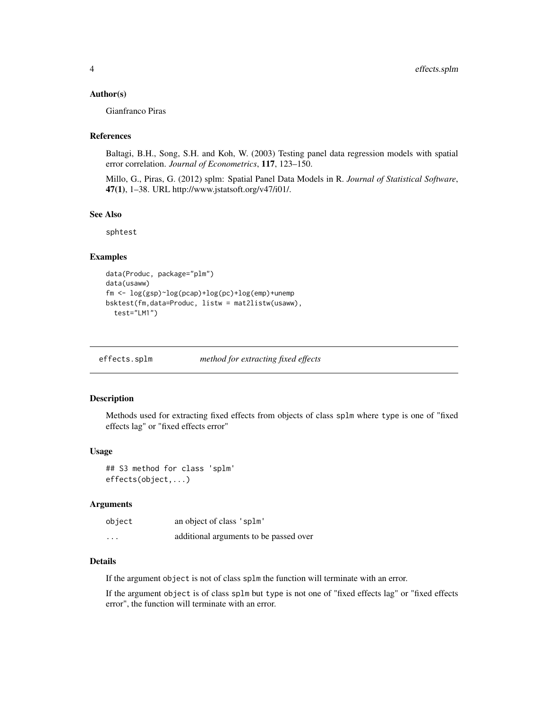#### <span id="page-3-0"></span>Author(s)

Gianfranco Piras

# References

Baltagi, B.H., Song, S.H. and Koh, W. (2003) Testing panel data regression models with spatial error correlation. *Journal of Econometrics*, 117, 123–150.

Millo, G., Piras, G. (2012) splm: Spatial Panel Data Models in R. *Journal of Statistical Software*, 47(1), 1–38. URL http://www.jstatsoft.org/v47/i01/.

#### See Also

sphtest

#### Examples

```
data(Produc, package="plm")
data(usaww)
fm <- log(gsp)~log(pcap)+log(pc)+log(emp)+unemp
bsktest(fm,data=Produc, listw = mat2listw(usaww),
  test="LM1")
```
effects.splm *method for extracting fixed effects*

#### Description

Methods used for extracting fixed effects from objects of class splm where type is one of "fixed effects lag" or "fixed effects error"

#### Usage

## S3 method for class 'splm' effects(object,...)

#### Arguments

| object                  | an object of class 'splm'              |
|-------------------------|----------------------------------------|
| $\cdot$ $\cdot$ $\cdot$ | additional arguments to be passed over |

#### Details

If the argument object is not of class splm the function will terminate with an error.

If the argument object is of class splm but type is not one of "fixed effects lag" or "fixed effects error", the function will terminate with an error.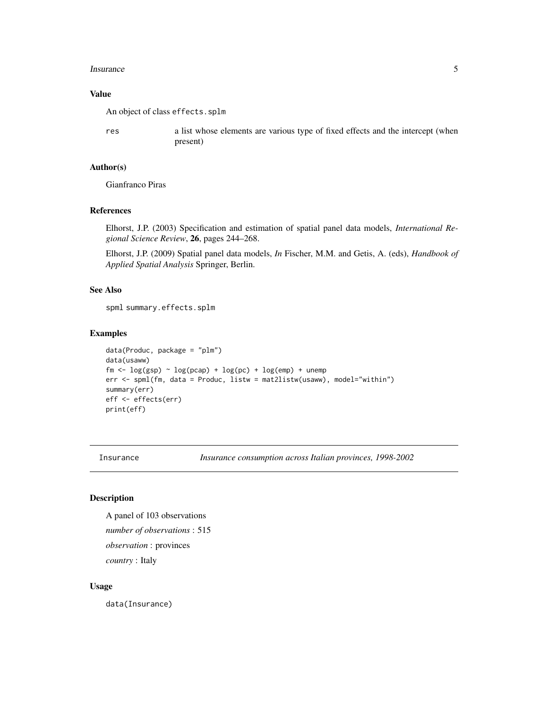#### <span id="page-4-0"></span>Insurance 5

### Value

An object of class effects.splm

res a list whose elements are various type of fixed effects and the intercept (when present)

# Author(s)

Gianfranco Piras

#### References

Elhorst, J.P. (2003) Specification and estimation of spatial panel data models, *International Regional Science Review*, 26, pages 244–268.

Elhorst, J.P. (2009) Spatial panel data models, *In* Fischer, M.M. and Getis, A. (eds), *Handbook of Applied Spatial Analysis* Springer, Berlin.

# See Also

spml summary.effects.splm

#### Examples

```
data(Produc, package = "plm")
data(usaww)
fm \leftarrow \log(gsp) \sim \log(pcap) + \log(pc) + \log(emp) + unemperr <- spml(fm, data = Produc, listw = mat2listw(usaww), model="within")
summary(err)
eff <- effects(err)
print(eff)
```
Insurance *Insurance consumption across Italian provinces, 1998-2002*

#### Description

A panel of 103 observations *number of observations* : 515 *observation* : provinces *country* : Italy

#### Usage

data(Insurance)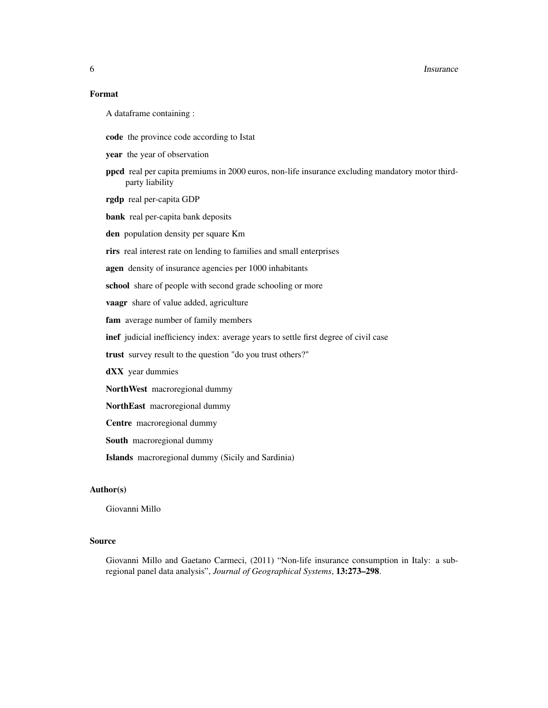#### **6** Insurance

# Format

A dataframe containing :

code the province code according to Istat

year the year of observation

ppcd real per capita premiums in 2000 euros, non-life insurance excluding mandatory motor thirdparty liability

rgdp real per-capita GDP

bank real per-capita bank deposits

den population density per square Km

rirs real interest rate on lending to families and small enterprises

agen density of insurance agencies per 1000 inhabitants

school share of people with second grade schooling or more

vaagr share of value added, agriculture

fam average number of family members

inef judicial inefficiency index: average years to settle first degree of civil case

trust survey result to the question "do you trust others?"

dXX year dummies

NorthWest macroregional dummy

NorthEast macroregional dummy

Centre macroregional dummy

South macroregional dummy

Islands macroregional dummy (Sicily and Sardinia)

#### Author(s)

Giovanni Millo

#### Source

Giovanni Millo and Gaetano Carmeci, (2011) "Non-life insurance consumption in Italy: a subregional panel data analysis", *Journal of Geographical Systems*, 13:273–298.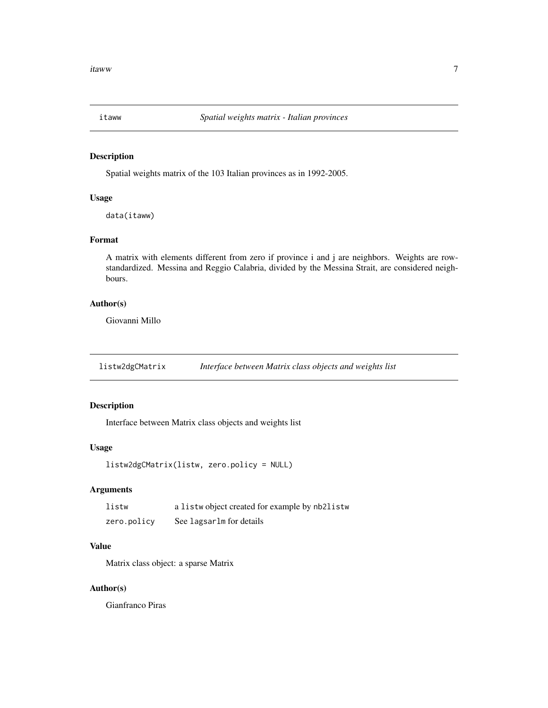<span id="page-6-0"></span>

#### Description

Spatial weights matrix of the 103 Italian provinces as in 1992-2005.

#### Usage

data(itaww)

# Format

A matrix with elements different from zero if province i and j are neighbors. Weights are rowstandardized. Messina and Reggio Calabria, divided by the Messina Strait, are considered neighbours.

#### Author(s)

Giovanni Millo

listw2dgCMatrix *Interface between Matrix class objects and weights list*

# Description

Interface between Matrix class objects and weights list

# Usage

```
listw2dgCMatrix(listw, zero.policy = NULL)
```
# Arguments

| listw       | a listwo bject created for example by nb2listw |
|-------------|------------------------------------------------|
| zero.policy | See lagsarlm for details                       |

# Value

Matrix class object: a sparse Matrix

#### Author(s)

Gianfranco Piras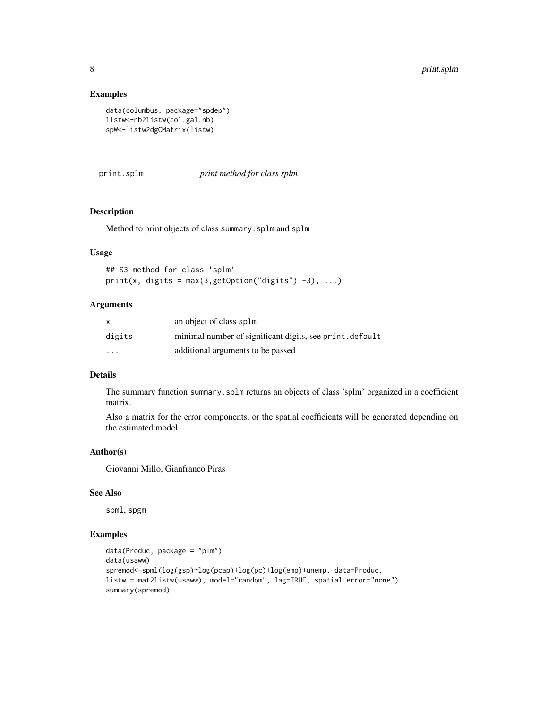#### Examples

```
data(columbus, package="spdep")
listw<-nb2listw(col.gal.nb)
spW<-listw2dgCMatrix(listw)
```
print.splm *print method for class splm*

# Description

Method to print objects of class summary.splm and splm

#### Usage

```
## S3 method for class 'splm'
print(x, digits = max(3, getOption("digits") -3), ...)
```
# Arguments

|          | an object of class splm                                 |
|----------|---------------------------------------------------------|
| digits   | minimal number of significant digits, see print.default |
| $\cdots$ | additional arguments to be passed                       |

# Details

The summary function summary.splm returns an objects of class 'splm' organized in a coefficient matrix.

Also a matrix for the error components, or the spatial coefficients will be generated depending on the estimated model.

# Author(s)

Giovanni Millo, Gianfranco Piras

#### See Also

spml, spgm

# Examples

```
data(Produc, package = "plm")
data(usaww)
spremod<-spml(log(gsp)~log(pcap)+log(pc)+log(emp)+unemp, data=Produc,
listw = mat2listw(usaww), model="random", lag=TRUE, spatial.error="none")
summary(spremod)
```
<span id="page-7-0"></span>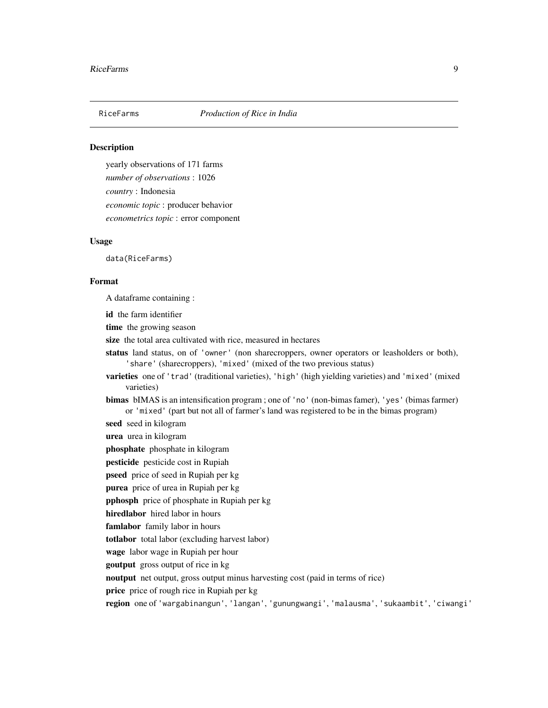<span id="page-8-0"></span>

# **Description**

yearly observations of 171 farms *number of observations* : 1026 *country* : Indonesia *economic topic* : producer behavior *econometrics topic* : error component

#### Usage

data(RiceFarms)

# Format

A dataframe containing :

id the farm identifier

time the growing season

size the total area cultivated with rice, measured in hectares

status land status, on of 'owner' (non sharecroppers, owner operators or leasholders or both), 'share' (sharecroppers), 'mixed' (mixed of the two previous status)

varieties one of 'trad' (traditional varieties), 'high' (high yielding varieties) and 'mixed' (mixed varieties)

bimas bIMAS is an intensification program ; one of 'no' (non-bimas famer), 'yes' (bimas farmer) or 'mixed' (part but not all of farmer's land was registered to be in the bimas program)

seed seed in kilogram

urea urea in kilogram

phosphate phosphate in kilogram

pesticide pesticide cost in Rupiah

pseed price of seed in Rupiah per kg

purea price of urea in Rupiah per kg

pphosph price of phosphate in Rupiah per kg

hiredlabor hired labor in hours

famlabor family labor in hours

totlabor total labor (excluding harvest labor)

wage labor wage in Rupiah per hour

goutput gross output of rice in kg

noutput net output, gross output minus harvesting cost (paid in terms of rice)

price price of rough rice in Rupiah per kg

region one of 'wargabinangun', 'langan', 'gunungwangi', 'malausma', 'sukaambit', 'ciwangi'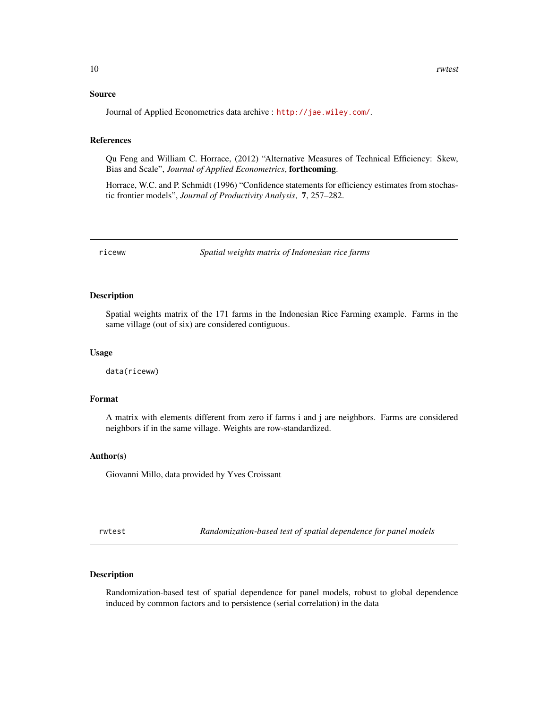#### <span id="page-9-0"></span>Source

Journal of Applied Econometrics data archive : <http://jae.wiley.com/>.

#### References

Qu Feng and William C. Horrace, (2012) "Alternative Measures of Technical Efficiency: Skew, Bias and Scale", *Journal of Applied Econometrics*, forthcoming.

Horrace, W.C. and P. Schmidt (1996) "Confidence statements for efficiency estimates from stochastic frontier models", *Journal of Productivity Analysis*, 7, 257–282.

riceww *Spatial weights matrix of Indonesian rice farms*

# Description

Spatial weights matrix of the 171 farms in the Indonesian Rice Farming example. Farms in the same village (out of six) are considered contiguous.

#### Usage

data(riceww)

# Format

A matrix with elements different from zero if farms i and j are neighbors. Farms are considered neighbors if in the same village. Weights are row-standardized.

## Author(s)

Giovanni Millo, data provided by Yves Croissant

rwtest *Randomization-based test of spatial dependence for panel models*

# Description

Randomization-based test of spatial dependence for panel models, robust to global dependence induced by common factors and to persistence (serial correlation) in the data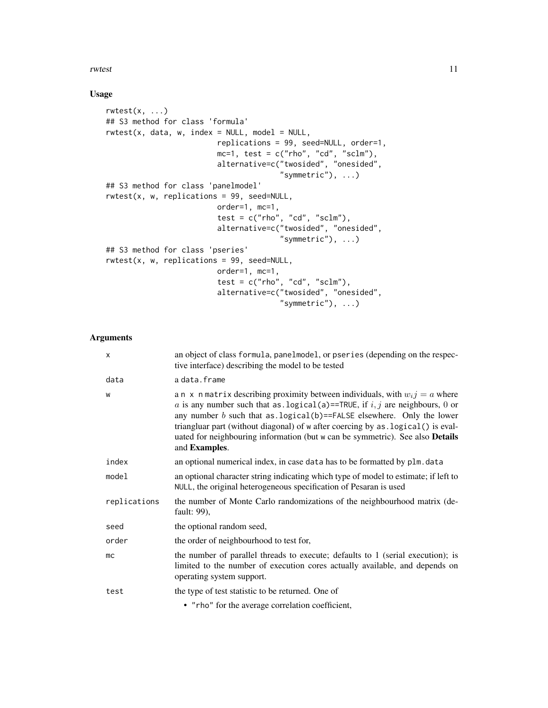rwtest 11

# Usage

```
rwtest(x, \ldots)## S3 method for class 'formula'
rwtest(x, data, w, index = NULL, model = NULL,
                         replications = 99, seed=NULL, order=1,
                         mc=1, test = c("rho", "cd", "sclm"),
                         alternative=c("twosided", "onesided",
                                        "symmetric"), ...)
## S3 method for class 'panelmodel'
rwtest(x, w, replications = 99, seed=NULL,
                         order=1, mc=1,
                         test = c("rho", "cd", "sclm"),
                         alternative=c("twosided", "onesided",
                                       "symmetric"), ...)
## S3 method for class 'pseries'
rwtest(x, w, replications = 99, seed=NULL,
                         order=1, mc=1,
                         test = c("rho", "cd", "sclm"),
                         alternative=c("twosided", "onesided",
                                       "symmetric"), ...)
```
# Arguments

| X            | an object of class formula, panelmodel, or pseries (depending on the respec-<br>tive interface) describing the model to be tested                                                                                                                                                                                                                                                                                                           |
|--------------|---------------------------------------------------------------------------------------------------------------------------------------------------------------------------------------------------------------------------------------------------------------------------------------------------------------------------------------------------------------------------------------------------------------------------------------------|
| data         | a data.frame                                                                                                                                                                                                                                                                                                                                                                                                                                |
| W            | a n x n matrix describing proximity between individuals, with $w_i j = a$ where<br>a is any number such that as . logical(a)==TRUE, if $i, j$ are neighbours, 0 or<br>any number $b$ such that as . logical $(b)$ ==FALSE elsewhere. Only the lower<br>triangluar part (without diagonal) of w after coercing by as . logical () is eval-<br>uated for neighbouring information (but w can be symmetric). See also Details<br>and Examples. |
| index        | an optional numerical index, in case data has to be formatted by plm. data                                                                                                                                                                                                                                                                                                                                                                  |
| model        | an optional character string indicating which type of model to estimate; if left to<br>NULL, the original heterogeneous specification of Pesaran is used                                                                                                                                                                                                                                                                                    |
| replications | the number of Monte Carlo randomizations of the neighbourhood matrix (de-<br>fault: 99),                                                                                                                                                                                                                                                                                                                                                    |
| seed         | the optional random seed,                                                                                                                                                                                                                                                                                                                                                                                                                   |
| order        | the order of neighbourhood to test for,                                                                                                                                                                                                                                                                                                                                                                                                     |
| mc           | the number of parallel threads to execute; defaults to 1 (serial execution); is<br>limited to the number of execution cores actually available, and depends on<br>operating system support.                                                                                                                                                                                                                                                 |
| test         | the type of test statistic to be returned. One of                                                                                                                                                                                                                                                                                                                                                                                           |
|              | • "rho" for the average correlation coefficient,                                                                                                                                                                                                                                                                                                                                                                                            |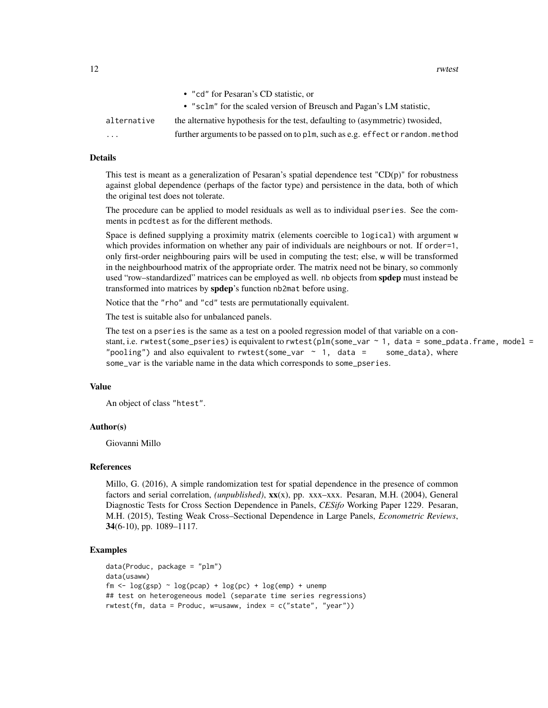|                         | • "cd" for Pesaran's CD statistic, or                                          |
|-------------------------|--------------------------------------------------------------------------------|
|                         | • "sclm" for the scaled version of Breusch and Pagan's LM statistic.           |
| alternative             | the alternative hypothesis for the test, defaulting to (asymmetric) two sided, |
| $\cdot$ $\cdot$ $\cdot$ | further arguments to be passed on to plm, such as e.g. effect or random.method |
|                         |                                                                                |

#### Details

This test is meant as a generalization of Pesaran's spatial dependence test  $"CD(p)"$  for robustness against global dependence (perhaps of the factor type) and persistence in the data, both of which the original test does not tolerate.

The procedure can be applied to model residuals as well as to individual pseries. See the comments in pcdtest as for the different methods.

Space is defined supplying a proximity matrix (elements coercible to logical) with argument w which provides information on whether any pair of individuals are neighbours or not. If order=1, only first-order neighbouring pairs will be used in computing the test; else, w will be transformed in the neighbourhood matrix of the appropriate order. The matrix need not be binary, so commonly used "row–standardized" matrices can be employed as well. nb objects from **spdep** must instead be transformed into matrices by spdep's function nb2mat before using.

Notice that the "rho" and "cd" tests are permutationally equivalent.

The test is suitable also for unbalanced panels.

The test on a pseries is the same as a test on a pooled regression model of that variable on a constant, i.e. rwtest(some\_pseries) is equivalent to rwtest(plm(some\_var ~ 1, data = some\_pdata.frame, model = "pooling") and also equivalent to rwtest(some\_var  $\sim$  1, data = some\_data), where some\_var is the variable name in the data which corresponds to some\_pseries.

#### Value

An object of class "htest".

#### Author(s)

Giovanni Millo

#### References

Millo, G. (2016), A simple randomization test for spatial dependence in the presence of common factors and serial correlation, *(unpublished)*, xx(x), pp. xxx–xxx. Pesaran, M.H. (2004), General Diagnostic Tests for Cross Section Dependence in Panels, *CESifo* Working Paper 1229. Pesaran, M.H. (2015), Testing Weak Cross–Sectional Dependence in Large Panels, *Econometric Reviews*, 34(6-10), pp. 1089–1117.

#### Examples

```
data(Produc, package = "plm")
data(usaww)
fm \leq log(gsp) \sim log(pcap) + log(pc) + log(em) + unemp## test on heterogeneous model (separate time series regressions)
rwtest(fm, data = Produc, w=usaww, index = c("state", "year"))
```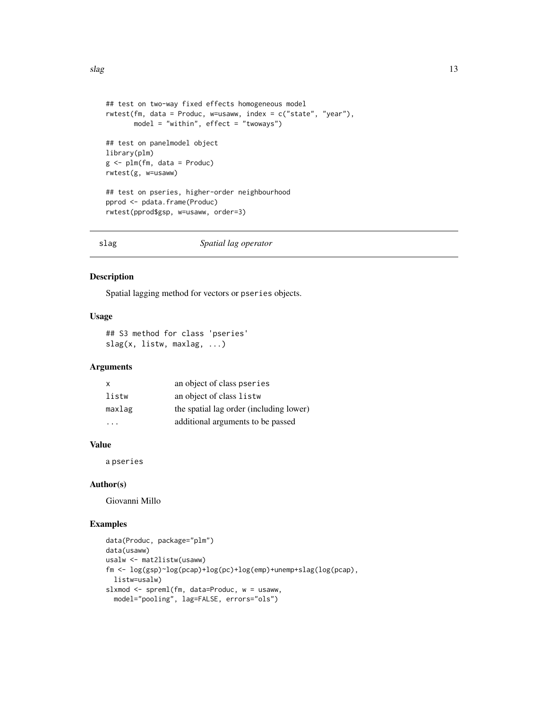```
## test on two-way fixed effects homogeneous model
rwtest(fm, data = Produc, w=usaww, index = c("state", "year"),
       model = "within", effect = "twoways")## test on panelmodel object
library(plm)
g <- plm(fm, data = Produc)
rwtest(g, w=usaww)
## test on pseries, higher-order neighbourhood
pprod <- pdata.frame(Produc)
rwtest(pprod$gsp, w=usaww, order=3)
```
#### slag *Spatial lag operator*

#### Description

Spatial lagging method for vectors or pseries objects.

#### Usage

## S3 method for class 'pseries' slag(x, listw, maxlag, ...)

#### Arguments

| x      | an object of class pseries              |
|--------|-----------------------------------------|
| listw  | an object of class listw                |
| maxlag | the spatial lag order (including lower) |
|        | additional arguments to be passed       |

# Value

a pseries

#### Author(s)

Giovanni Millo

# Examples

```
data(Produc, package="plm")
data(usaww)
usalw <- mat2listw(usaww)
fm <- log(gsp)~log(pcap)+log(pc)+log(emp)+unemp+slag(log(pcap),
  listw=usalw)
slxmod <- spreml(fm, data=Produc, w = usaww,
  model="pooling", lag=FALSE, errors="ols")
```
<span id="page-12-0"></span> $slag$  13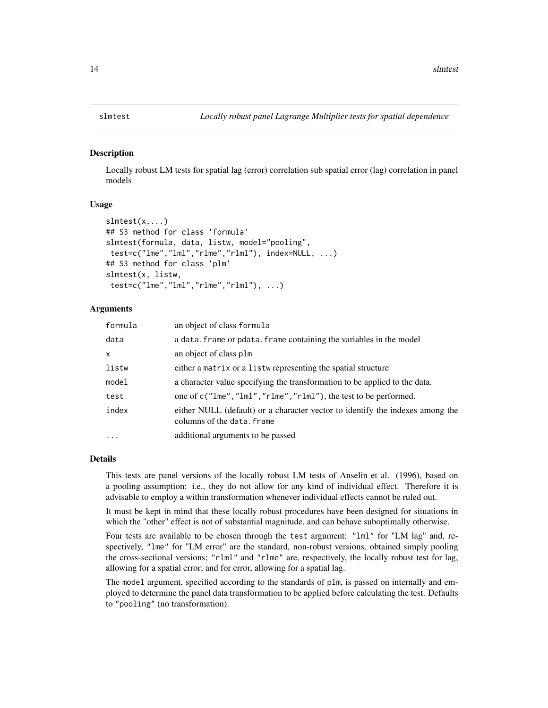#### <span id="page-13-0"></span>**Description**

Locally robust LM tests for spatial lag (error) correlation sub spatial error (lag) correlation in panel models

#### Usage

```
slmtest(x,...)## S3 method for class 'formula'
slmtest(formula, data, listw, model="pooling",
test=c("lme","lml","rlme","rlml"), index=NULL, ...)
## S3 method for class 'plm'
slmtest(x, listw,
test=c("lme","lml","rlme","rlml"), ...)
```
#### Arguments

| formula      | an object of class formula                                                                                  |
|--------------|-------------------------------------------------------------------------------------------------------------|
| data         | a data. frame or pdata. frame containing the variables in the model                                         |
| $\mathsf{x}$ | an object of class plm                                                                                      |
| listw        | either a matrix or a listw representing the spatial structure                                               |
| model        | a character value specifying the transformation to be applied to the data.                                  |
| test         | one of c("lme","lml","rlme","rlml"), the test to be performed.                                              |
| index        | either NULL (default) or a character vector to identify the indexes among the<br>columns of the data. frame |
| $\cdot$      | additional arguments to be passed                                                                           |

#### Details

This tests are panel versions of the locally robust LM tests of Anselin et al. (1996), based on a pooling assumption: i.e., they do not allow for any kind of individual effect. Therefore it is advisable to employ a within transformation whenever individual effects cannot be ruled out.

It must be kept in mind that these locally robust procedures have been designed for situations in which the "other" effect is not of substantial magnitude, and can behave suboptimally otherwise.

Four tests are available to be chosen through the test argument: "lml" for "LM lag" and, respectively, "lme" for "LM error" are the standard, non-robust versions, obtained simply pooling the cross-sectional versions; "rlml" and "rlme" are, respectively, the locally robust test for lag, allowing for a spatial error; and for error, allowing for a spatial lag.

The model argument, specified according to the standards of plm, is passed on internally and employed to determine the panel data transformation to be applied before calculating the test. Defaults to "pooling" (no transformation).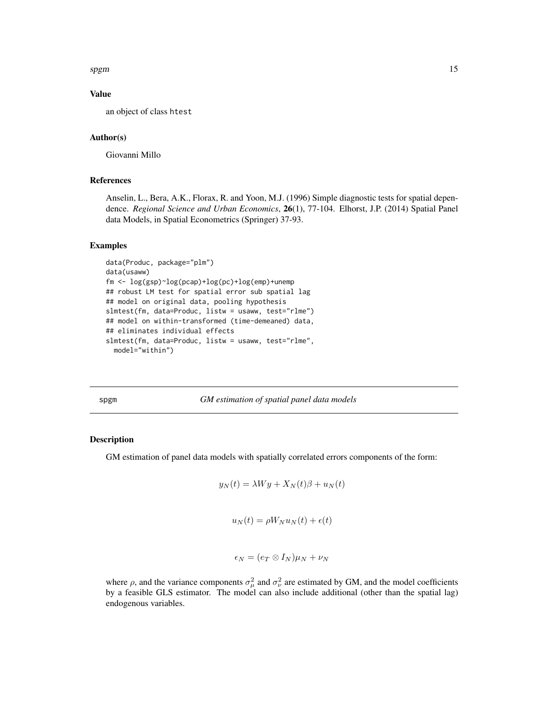<span id="page-14-0"></span>spgm and the state of the state of the state of the state of the state of the state of the state of the state of the state of the state of the state of the state of the state of the state of the state of the state of the s

# Value

an object of class htest

# Author(s)

Giovanni Millo

#### References

Anselin, L., Bera, A.K., Florax, R. and Yoon, M.J. (1996) Simple diagnostic tests for spatial dependence. *Regional Science and Urban Economics*, 26(1), 77-104. Elhorst, J.P. (2014) Spatial Panel data Models, in Spatial Econometrics (Springer) 37-93.

#### Examples

```
data(Produc, package="plm")
data(usaww)
fm <- log(gsp)~log(pcap)+log(pc)+log(emp)+unemp
## robust LM test for spatial error sub spatial lag
## model on original data, pooling hypothesis
slmtest(fm, data=Produc, listw = usaww, test="rlme")
## model on within-transformed (time-demeaned) data,
## eliminates individual effects
slmtest(fm, data=Produc, listw = usaww, test="rlme",
 model="within")
```
spgm *GM estimation of spatial panel data models*

#### Description

GM estimation of panel data models with spatially correlated errors components of the form:

$$
y_N(t) = \lambda Wy + X_N(t)\beta + u_N(t)
$$

$$
u_N(t) = \rho W_N u_N(t) + \epsilon(t)
$$

$$
\epsilon_N=(e_T\otimes I_N)\mu_N+\nu_N
$$

where  $\rho$ , and the variance components  $\sigma_{\mu}^2$  and  $\sigma_{\nu}^2$  are estimated by GM, and the model coefficients by a feasible GLS estimator. The model can also include additional (other than the spatial lag) endogenous variables.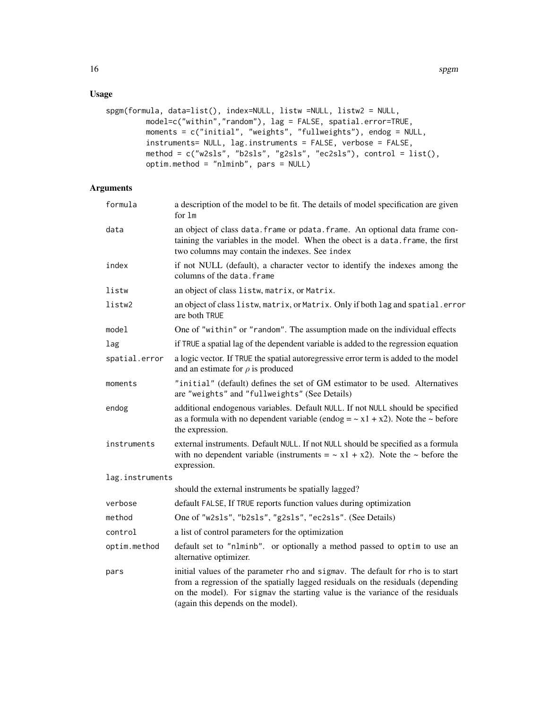# Usage

```
spgm(formula, data=list(), index=NULL, listw =NULL, listw2 = NULL,
        model=c("within","random"), lag = FALSE, spatial.error=TRUE,
        moments = c("initial", "weights", "fullweights"), endog = NULL,
         instruments= NULL, lag.instruments = FALSE, verbose = FALSE,
        method = c("w2sls", "b2sls", "g2sls", "ec2sls"), control = list(),
        optim.method = "nlminb", pars = NULL)
```
# Arguments

| formula         | a description of the model to be fit. The details of model specification are given<br>for $lm$                                                                                                                                                                                            |
|-----------------|-------------------------------------------------------------------------------------------------------------------------------------------------------------------------------------------------------------------------------------------------------------------------------------------|
| data            | an object of class data. frame or pdata. frame. An optional data frame con-<br>taining the variables in the model. When the obect is a data. frame, the first<br>two columns may contain the indexes. See index                                                                           |
| index           | if not NULL (default), a character vector to identify the indexes among the<br>columns of the data, frame                                                                                                                                                                                 |
| listw           | an object of class listw, matrix, or Matrix.                                                                                                                                                                                                                                              |
| listw2          | an object of class listw, matrix, or Matrix. Only if both lag and spatial.error<br>are both TRUE                                                                                                                                                                                          |
| model           | One of "within" or "random". The assumption made on the individual effects                                                                                                                                                                                                                |
| lag             | if TRUE a spatial lag of the dependent variable is added to the regression equation                                                                                                                                                                                                       |
| spatial.error   | a logic vector. If TRUE the spatial autoregressive error term is added to the model<br>and an estimate for $\rho$ is produced                                                                                                                                                             |
| moments         | "initial" (default) defines the set of GM estimator to be used. Alternatives<br>are "weights" and "fullweights" (See Details)                                                                                                                                                             |
| endog           | additional endogenous variables. Default NULL. If not NULL should be specified<br>as a formula with no dependent variable (endog = $\sim x1 + x2$ ). Note the $\sim$ before<br>the expression.                                                                                            |
| instruments     | external instruments. Default NULL. If not NULL should be specified as a formula<br>with no dependent variable (instruments = $\sim x1 + x2$ ). Note the $\sim$ before the<br>expression.                                                                                                 |
| lag.instruments |                                                                                                                                                                                                                                                                                           |
|                 | should the external instruments be spatially lagged?                                                                                                                                                                                                                                      |
| verbose         | default FALSE, If TRUE reports function values during optimization                                                                                                                                                                                                                        |
| method          | One of "w2s1s", "b2s1s", "g2s1s", "ec2s1s". (See Details)                                                                                                                                                                                                                                 |
| control         | a list of control parameters for the optimization                                                                                                                                                                                                                                         |
| optim.method    | default set to "nlminb". or optionally a method passed to optim to use an<br>alternative optimizer.                                                                                                                                                                                       |
| pars            | initial values of the parameter rho and sigmav. The default for rho is to start<br>from a regression of the spatially lagged residuals on the residuals (depending<br>on the model). For sigmav the starting value is the variance of the residuals<br>(again this depends on the model). |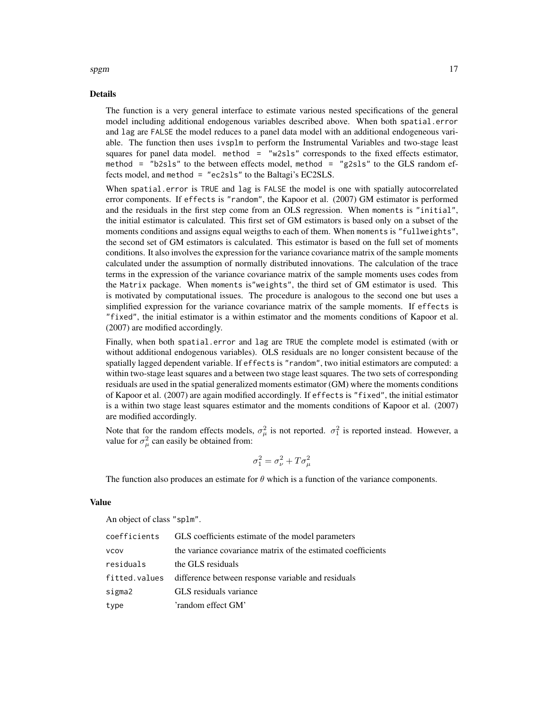#### Details

spgm and the state of the state of the state of the state of the state of the state of the state of the state of the state of the state of the state of the state of the state of the state of the state of the state of the s

The function is a very general interface to estimate various nested specifications of the general model including additional endogenous variables described above. When both spatial.error and lag are FALSE the model reduces to a panel data model with an additional endogeneous variable. The function then uses ivsplm to perform the Instrumental Variables and two-stage least squares for panel data model. method = "w2sls" corresponds to the fixed effects estimator, method = "b2sls" to the between effects model, method = "g2sls" to the GLS random effects model, and method = "ec2sls" to the Baltagi's EC2SLS.

When spatial.error is TRUE and lag is FALSE the model is one with spatially autocorrelated error components. If effects is "random", the Kapoor et al. (2007) GM estimator is performed and the residuals in the first step come from an OLS regression. When moments is "initial", the initial estimator is calculated. This first set of GM estimators is based only on a subset of the moments conditions and assigns equal weigths to each of them. When moments is "fullweights", the second set of GM estimators is calculated. This estimator is based on the full set of moments conditions. It also involves the expression for the variance covariance matrix of the sample moments calculated under the assumption of normally distributed innovations. The calculation of the trace terms in the expression of the variance covariance matrix of the sample moments uses codes from the Matrix package. When moments is"weights", the third set of GM estimator is used. This is motivated by computational issues. The procedure is analogous to the second one but uses a simplified expression for the variance covariance matrix of the sample moments. If effects is "fixed", the initial estimator is a within estimator and the moments conditions of Kapoor et al. (2007) are modified accordingly.

Finally, when both spatial.error and lag are TRUE the complete model is estimated (with or without additional endogenous variables). OLS residuals are no longer consistent because of the spatially lagged dependent variable. If effects is "random", two initial estimators are computed: a within two-stage least squares and a between two stage least squares. The two sets of corresponding residuals are used in the spatial generalized moments estimator (GM) where the moments conditions of Kapoor et al. (2007) are again modified accordingly. If effects is "fixed", the initial estimator is a within two stage least squares estimator and the moments conditions of Kapoor et al. (2007) are modified accordingly.

Note that for the random effects models,  $\sigma_{\mu}^2$  is not reported.  $\sigma_1^2$  is reported instead. However, a value for  $\sigma_{\mu}^2$  can easily be obtained from:

$$
\sigma_1^2 = \sigma_\nu^2 + T\sigma_\mu^2
$$

The function also produces an estimate for  $\theta$  which is a function of the variance components.

#### Value

An object of class "splm".

|             | coefficients GLS coefficients estimate of the model parameters   |
|-------------|------------------------------------------------------------------|
| <b>VCOV</b> | the variance covariance matrix of the estimated coefficients     |
| residuals   | the GLS residuals                                                |
|             | fitted.values difference between response variable and residuals |
| sigma2      | GLS residuals variance                                           |
| type        | 'random effect GM'                                               |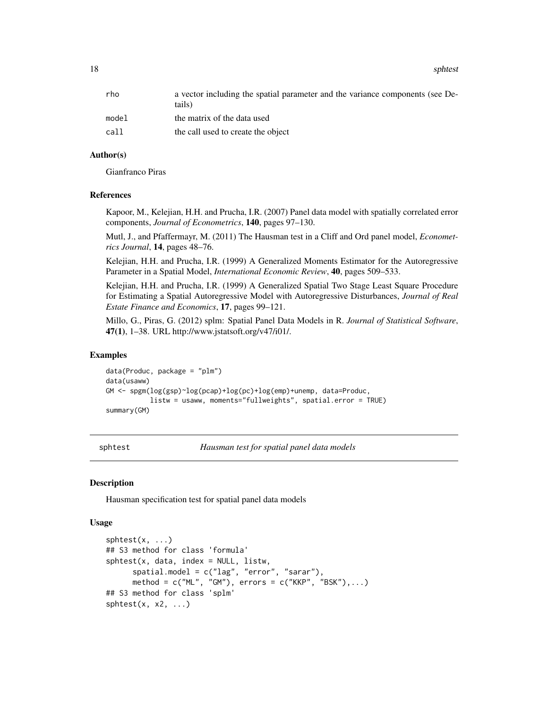<span id="page-17-0"></span>18 sphtest and the sphere of the sphere of the sphere of the sphere of the sphere of the sphere of the sphere of the sphere of the sphere of the sphere of the sphere of the sphere of the sphere of the sphere of the sphere

| a vector including the spatial parameter and the variance components (see De-<br>tails) |
|-----------------------------------------------------------------------------------------|
| the matrix of the data used                                                             |
| the call used to create the object                                                      |
|                                                                                         |

#### Author(s)

Gianfranco Piras

#### References

Kapoor, M., Kelejian, H.H. and Prucha, I.R. (2007) Panel data model with spatially correlated error components, *Journal of Econometrics*, 140, pages 97–130.

Mutl, J., and Pfaffermayr, M. (2011) The Hausman test in a Cliff and Ord panel model, *Econometrics Journal*, 14, pages 48–76.

Kelejian, H.H. and Prucha, I.R. (1999) A Generalized Moments Estimator for the Autoregressive Parameter in a Spatial Model, *International Economic Review*, 40, pages 509–533.

Kelejian, H.H. and Prucha, I.R. (1999) A Generalized Spatial Two Stage Least Square Procedure for Estimating a Spatial Autoregressive Model with Autoregressive Disturbances, *Journal of Real Estate Finance and Economics*, 17, pages 99–121.

Millo, G., Piras, G. (2012) splm: Spatial Panel Data Models in R. *Journal of Statistical Software*, 47(1), 1–38. URL http://www.jstatsoft.org/v47/i01/.

#### Examples

```
data(Produc, package = "plm")
data(usaww)
GM <- spgm(log(gsp)~log(pcap)+log(pc)+log(emp)+unemp, data=Produc,
           listw = usaww, moments="fullweights", spatial.error = TRUE)
summary(GM)
```
sphtest *Hausman test for spatial panel data models*

#### Description

Hausman specification test for spatial panel data models

#### Usage

```
sphtest(x, \ldots)## S3 method for class 'formula'
splits(t, data, index = NULL, listw,spatial.model = c("lag", "error", "sarar"),
      method = c("ML", "GM"), errors = c("KKP", "BSK"),...)
## S3 method for class 'splm'
sphtest(x, x2, ...)
```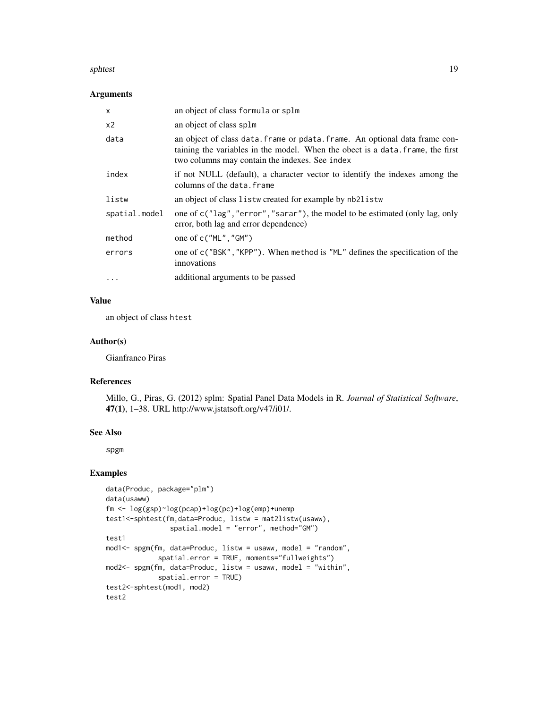#### sphtest 19

### Arguments

| $\times$      | an object of class formula or splm                                                                                                                                                                              |
|---------------|-----------------------------------------------------------------------------------------------------------------------------------------------------------------------------------------------------------------|
| x2            | an object of class splm                                                                                                                                                                                         |
| data          | an object of class data. frame or pdata. frame. An optional data frame con-<br>taining the variables in the model. When the obect is a data, frame, the first<br>two columns may contain the indexes. See index |
| index         | if not NULL (default), a character vector to identify the indexes among the<br>columns of the data.frame                                                                                                        |
| listw         | an object of class listw created for example by nb2listw                                                                                                                                                        |
| spatial.model | one of c("lag", "error", "sarar"), the model to be estimated (only lag, only<br>error, both lag and error dependence)                                                                                           |
| method        | one of $c("ML", "GM")$                                                                                                                                                                                          |
| errors        | one of c("BSK", "KPP"). When method is "ML" defines the specification of the<br>innovations                                                                                                                     |
| $\cdots$      | additional arguments to be passed                                                                                                                                                                               |

# Value

an object of class htest

# Author(s)

Gianfranco Piras

# References

Millo, G., Piras, G. (2012) splm: Spatial Panel Data Models in R. *Journal of Statistical Software*, 47(1), 1–38. URL http://www.jstatsoft.org/v47/i01/.

#### See Also

spgm

# Examples

```
data(Produc, package="plm")
data(usaww)
fm <- log(gsp)~log(pcap)+log(pc)+log(emp)+unemp
test1<-sphtest(fm,data=Produc, listw = mat2listw(usaww),
                spatial.model = "error", method="GM")
test1
mod1<- spgm(fm, data=Produc, listw = usaww, model = "random",
             spatial.error = TRUE, moments="fullweights")
mod2<- spgm(fm, data=Produc, listw = usaww, model = "within",
             spatial.error = TRUE)
test2<-sphtest(mod1, mod2)
test2
```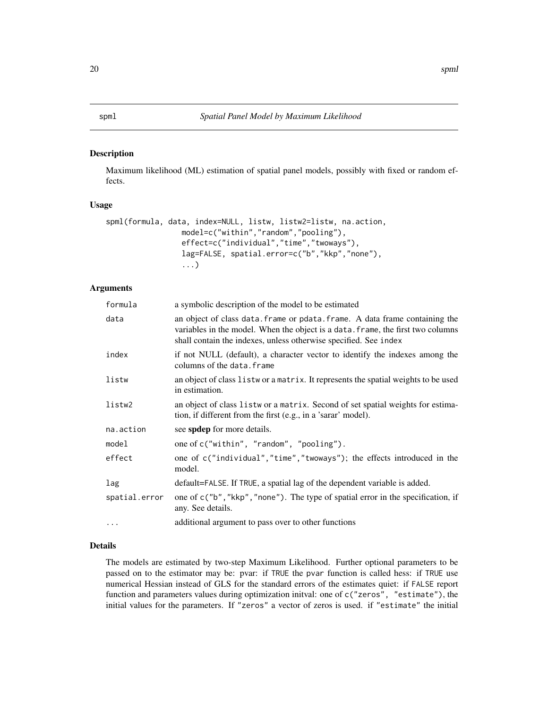#### <span id="page-19-0"></span>Description

Maximum likelihood (ML) estimation of spatial panel models, possibly with fixed or random effects.

#### Usage

```
spml(formula, data, index=NULL, listw, listw2=listw, na.action,
                 model=c("within","random","pooling"),
                 effect=c("individual","time","twoways"),
                 lag=FALSE, spatial.error=c("b","kkp","none"),
                 ...)
```
# Arguments

| formula       | a symbolic description of the model to be estimated                                                                                                                                                                                |
|---------------|------------------------------------------------------------------------------------------------------------------------------------------------------------------------------------------------------------------------------------|
| data          | an object of class data. frame or pdata. frame. A data frame containing the<br>variables in the model. When the object is a data. frame, the first two columns<br>shall contain the indexes, unless otherwise specified. See index |
| index         | if not NULL (default), a character vector to identify the indexes among the<br>columns of the data.frame                                                                                                                           |
| listw         | an object of class listwor a matrix. It represents the spatial weights to be used<br>in estimation.                                                                                                                                |
| listw2        | an object of class listwor a matrix. Second of set spatial weights for estima-<br>tion, if different from the first (e.g., in a 'sarar' model).                                                                                    |
| na.action     | see spdep for more details.                                                                                                                                                                                                        |
| model         | one of c("within", "random", "pooling").                                                                                                                                                                                           |
| effect        | one of c("individual","time","twoways"); the effects introduced in the<br>model.                                                                                                                                                   |
| lag           | default=FALSE. If TRUE, a spatial lag of the dependent variable is added.                                                                                                                                                          |
| spatial.error | one of c("b", "kkp", "none"). The type of spatial error in the specification, if<br>any. See details.                                                                                                                              |
| $\cdot$       | additional argument to pass over to other functions                                                                                                                                                                                |

# Details

The models are estimated by two-step Maximum Likelihood. Further optional parameters to be passed on to the estimator may be: pvar: if TRUE the pvar function is called hess: if TRUE use numerical Hessian instead of GLS for the standard errors of the estimates quiet: if FALSE report function and parameters values during optimization initval: one of c("zeros", "estimate"), the initial values for the parameters. If "zeros" a vector of zeros is used. if "estimate" the initial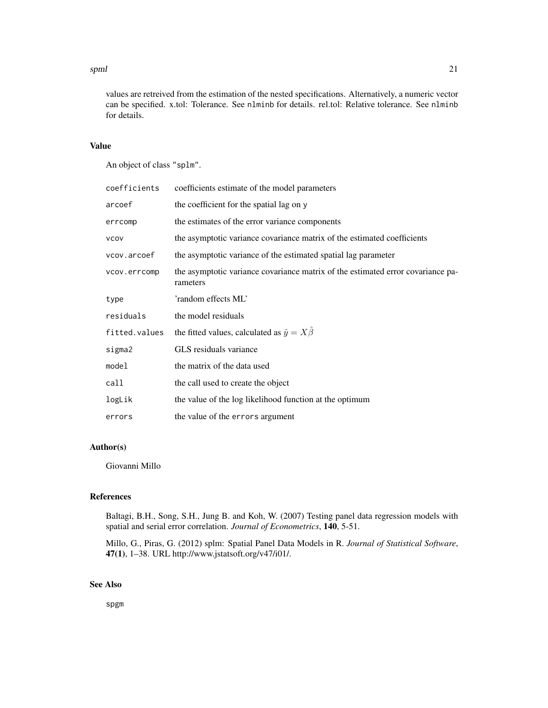#### spml 21

values are retreived from the estimation of the nested specifications. Alternatively, a numeric vector can be specified. x.tol: Tolerance. See nlminb for details. rel.tol: Relative tolerance. See nlminb for details.

#### Value

An object of class "splm".

| coefficients  | coefficients estimate of the model parameters                                               |
|---------------|---------------------------------------------------------------------------------------------|
| arcoef        | the coefficient for the spatial lag on y                                                    |
| errcomp       | the estimates of the error variance components                                              |
| <b>VCOV</b>   | the asymptotic variance covariance matrix of the estimated coefficients                     |
| vcov.arcoef   | the asymptotic variance of the estimated spatial lag parameter                              |
| vcov.errcomp  | the asymptotic variance covariance matrix of the estimated error covariance pa-<br>rameters |
| type          | 'random effects ML'                                                                         |
| residuals     | the model residuals                                                                         |
| fitted.values | the fitted values, calculated as $\hat{y} = X\hat{\beta}$                                   |
| sigma2        | GLS residuals variance                                                                      |
| model         | the matrix of the data used                                                                 |
| call          | the call used to create the object                                                          |
| logLik        | the value of the log likelihood function at the optimum                                     |
| errors        | the value of the errors argument                                                            |

# Author(s)

Giovanni Millo

# References

Baltagi, B.H., Song, S.H., Jung B. and Koh, W. (2007) Testing panel data regression models with spatial and serial error correlation. *Journal of Econometrics*, 140, 5-51.

Millo, G., Piras, G. (2012) splm: Spatial Panel Data Models in R. *Journal of Statistical Software*, 47(1), 1–38. URL http://www.jstatsoft.org/v47/i01/.

# See Also

spgm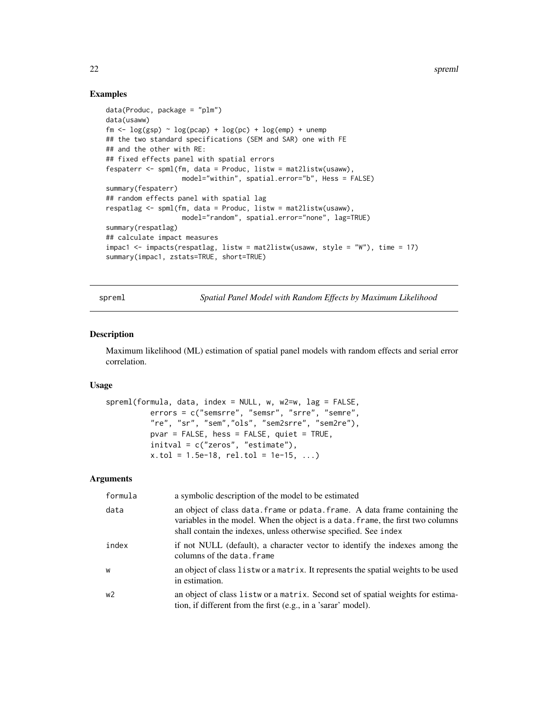22 spreml

## Examples

```
data(Produc, package = "plm")
data(usaww)
fm \leftarrow log(gsp) \sim log(pcap) + log(pc) + log(emp) + unemp
## the two standard specifications (SEM and SAR) one with FE
## and the other with RE:
## fixed effects panel with spatial errors
fespaterr <- spml(fm, data = Produc, listw = mat2listw(usaww),
                   model="within", spatial.error="b", Hess = FALSE)
summary(fespaterr)
## random effects panel with spatial lag
respatlag <- spml(fm, data = Produc, listw = mat2listw(usaww),
                   model="random", spatial.error="none", lag=TRUE)
summary(respatlag)
## calculate impact measures
impac1 <- impacts(respatlag, listw = mat2listw(usaww, style = "W"), time = 17)
summary(impac1, zstats=TRUE, short=TRUE)
```
spreml *Spatial Panel Model with Random Effects by Maximum Likelihood*

#### Description

Maximum likelihood (ML) estimation of spatial panel models with random effects and serial error correlation.

# Usage

```
spreml(formula, data, index = NULL, w, w2=w, lag = FALSE,
          errors = c("semsrre", "semsr", "srre", "semre",
          "re", "sr", "sem","ols", "sem2srre", "sem2re"),
         pvar = FALSE, hess = FALSE, quiet = TRUE,
          initval = c("zeros", "estimate"),
          x.tol = 1.5e-18, rel.tol = 1e-15, ...)
```
#### Arguments

| formula        | a symbolic description of the model to be estimated                                                                                                                                                                                |
|----------------|------------------------------------------------------------------------------------------------------------------------------------------------------------------------------------------------------------------------------------|
| data           | an object of class data. frame or pdata. frame. A data frame containing the<br>variables in the model. When the object is a data. frame, the first two columns<br>shall contain the indexes, unless otherwise specified. See index |
| index          | if not NULL (default), a character vector to identify the indexes among the<br>columns of the data. frame                                                                                                                          |
| W              | an object of class list wor a matrix. It represents the spatial weights to be used<br>in estimation.                                                                                                                               |
| w <sub>2</sub> | an object of class list wor a matrix. Second set of spatial weights for estima-<br>tion, if different from the first (e.g., in a 'sarar' model).                                                                                   |

<span id="page-21-0"></span>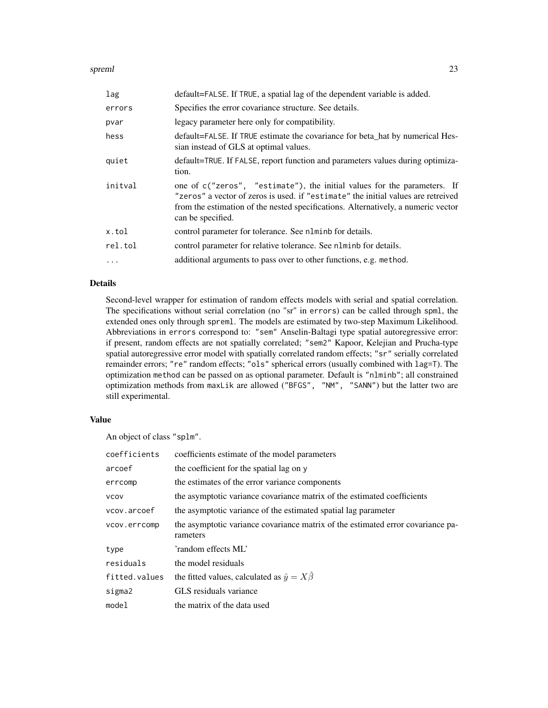#### spreml 23

| lag      | default=FALSE. If TRUE, a spatial lag of the dependent variable is added.                                                                                                                                                                                               |
|----------|-------------------------------------------------------------------------------------------------------------------------------------------------------------------------------------------------------------------------------------------------------------------------|
| errors   | Specifies the error covariance structure. See details.                                                                                                                                                                                                                  |
| pvar     | legacy parameter here only for compatibility.                                                                                                                                                                                                                           |
| hess     | default=FALSE. If TRUE estimate the covariance for beta_hat by numerical Hes-<br>sian instead of GLS at optimal values.                                                                                                                                                 |
| quiet    | default=TRUE. If FALSE, report function and parameters values during optimiza-<br>tion.                                                                                                                                                                                 |
| initval  | one of c("zeros", "estimate"), the initial values for the parameters. If<br>"zeros" a vector of zeros is used. if "estimate" the initial values are retreived<br>from the estimation of the nested specifications. Alternatively, a numeric vector<br>can be specified. |
| x.tol    | control parameter for tolerance. See nlminb for details.                                                                                                                                                                                                                |
| rel.tol  | control parameter for relative tolerance. See nlminb for details.                                                                                                                                                                                                       |
| $\cdots$ | additional arguments to pass over to other functions, e.g. method.                                                                                                                                                                                                      |

### Details

Second-level wrapper for estimation of random effects models with serial and spatial correlation. The specifications without serial correlation (no "sr" in errors) can be called through spml, the extended ones only through spreml. The models are estimated by two-step Maximum Likelihood. Abbreviations in errors correspond to: "sem" Anselin-Baltagi type spatial autoregressive error: if present, random effects are not spatially correlated; "sem2" Kapoor, Kelejian and Prucha-type spatial autoregressive error model with spatially correlated random effects; "sr" serially correlated remainder errors; "re" random effects; "ols" spherical errors (usually combined with lag=T). The optimization method can be passed on as optional parameter. Default is "nlminb"; all constrained optimization methods from maxLik are allowed ("BFGS", "NM", "SANN") but the latter two are still experimental.

#### Value

An object of class "splm".

| coefficients  | coefficients estimate of the model parameters                                               |
|---------------|---------------------------------------------------------------------------------------------|
| arcoef        | the coefficient for the spatial lag on y                                                    |
| errcomp       | the estimates of the error variance components                                              |
| <b>VCOV</b>   | the asymptotic variance covariance matrix of the estimated coefficients                     |
| vcov.arcoef   | the asymptotic variance of the estimated spatial lag parameter                              |
| vcov.errcomp  | the asymptotic variance covariance matrix of the estimated error covariance pa-<br>rameters |
| type          | 'random effects ML'                                                                         |
| residuals     | the model residuals                                                                         |
| fitted.values | the fitted values, calculated as $\hat{y} = X\hat{\beta}$                                   |
| sigma2        | GLS residuals variance                                                                      |
| model         | the matrix of the data used                                                                 |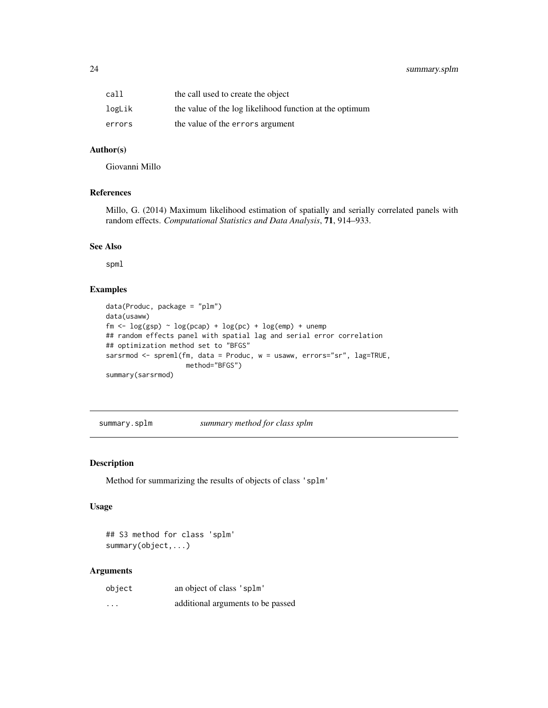# <span id="page-23-0"></span>24 summary.splm

| call   | the call used to create the object                      |
|--------|---------------------------------------------------------|
| logLik | the value of the log likelihood function at the optimum |
| errors | the value of the errors argument                        |

# Author(s)

Giovanni Millo

# References

Millo, G. (2014) Maximum likelihood estimation of spatially and serially correlated panels with random effects. *Computational Statistics and Data Analysis*, 71, 914–933.

## See Also

spml

# Examples

```
data(Produc, package = "plm")
data(usaww)
fm \leftarrow \log(gsp) \sim \log(pcap) + \log(pc) + \log(emp) + unemp## random effects panel with spatial lag and serial error correlation
## optimization method set to "BFGS"
sarsrmod <- spreml(fm, data = Produc, w = usaww, errors="sr", lag=TRUE,
                    method="BFGS")
summary(sarsrmod)
```
summary.splm *summary method for class splm*

#### Description

Method for summarizing the results of objects of class 'splm'

#### Usage

## S3 method for class 'splm' summary(object,...)

#### Arguments

| object   | an object of class 'splm'         |
|----------|-----------------------------------|
| $\cdots$ | additional arguments to be passed |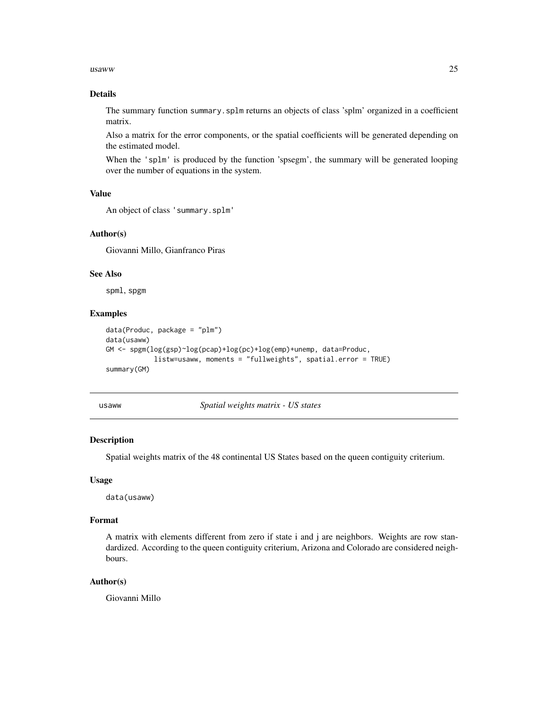#### <span id="page-24-0"></span> $u$ saww 25

# Details

The summary function summary.splm returns an objects of class 'splm' organized in a coefficient matrix.

Also a matrix for the error components, or the spatial coefficients will be generated depending on the estimated model.

When the 'splm' is produced by the function 'spsegm', the summary will be generated looping over the number of equations in the system.

#### Value

```
An object of class 'summary.splm'
```
# Author(s)

Giovanni Millo, Gianfranco Piras

#### See Also

spml, spgm

#### Examples

```
data(Produc, package = "plm")
data(usaww)
GM <- spgm(log(gsp)~log(pcap)+log(pc)+log(emp)+unemp, data=Produc,
            listw=usaww, moments = "fullweights", spatial.error = TRUE)
summary(GM)
```
usaww *Spatial weights matrix - US states*

# Description

Spatial weights matrix of the 48 continental US States based on the queen contiguity criterium.

#### Usage

data(usaww)

#### Format

A matrix with elements different from zero if state i and j are neighbors. Weights are row standardized. According to the queen contiguity criterium, Arizona and Colorado are considered neighbours.

# Author(s)

Giovanni Millo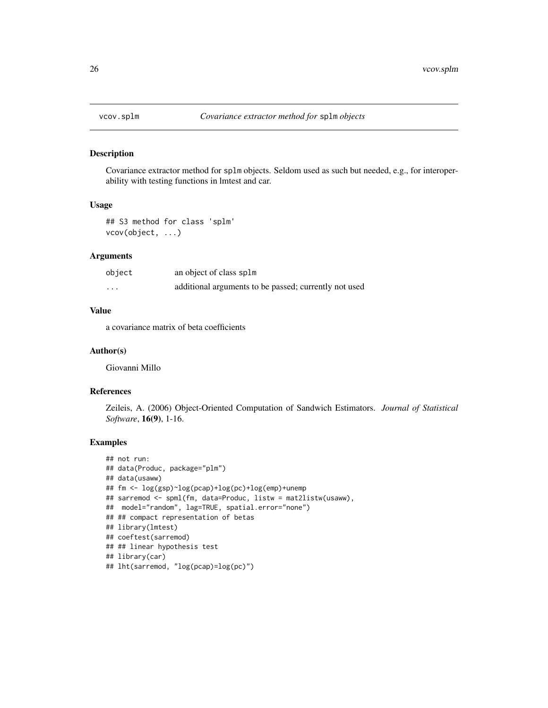<span id="page-25-0"></span>

#### Description

Covariance extractor method for splm objects. Seldom used as such but needed, e.g., for interoperability with testing functions in lmtest and car.

#### Usage

```
## S3 method for class 'splm'
vcov(object, ...)
```
# Arguments

| object | an object of class splm                               |
|--------|-------------------------------------------------------|
| .      | additional arguments to be passed; currently not used |

# Value

a covariance matrix of beta coefficients

#### Author(s)

Giovanni Millo

#### References

Zeileis, A. (2006) Object-Oriented Computation of Sandwich Estimators. *Journal of Statistical Software*, 16(9), 1-16.

# Examples

```
## not run:
## data(Produc, package="plm")
## data(usaww)
## fm <- log(gsp)~log(pcap)+log(pc)+log(emp)+unemp
## sarremod <- spml(fm, data=Produc, listw = mat2listw(usaww),
## model="random", lag=TRUE, spatial.error="none")
## ## compact representation of betas
## library(lmtest)
## coeftest(sarremod)
## ## linear hypothesis test
## library(car)
## lht(sarremod, "log(pcap)=log(pc)")
```